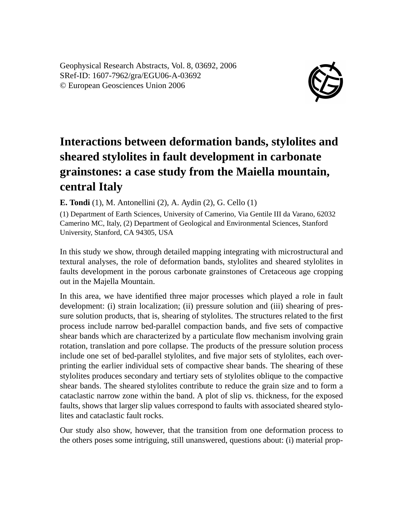Geophysical Research Abstracts, Vol. 8, 03692, 2006 SRef-ID: 1607-7962/gra/EGU06-A-03692 © European Geosciences Union 2006



## **Interactions between deformation bands, stylolites and sheared stylolites in fault development in carbonate grainstones: a case study from the Maiella mountain, central Italy**

**E. Tondi** (1), M. Antonellini (2), A. Aydin (2), G. Cello (1)

(1) Department of Earth Sciences, University of Camerino, Via Gentile III da Varano, 62032 Camerino MC, Italy, (2) Department of Geological and Environmental Sciences, Stanford University, Stanford, CA 94305, USA

In this study we show, through detailed mapping integrating with microstructural and textural analyses, the role of deformation bands, stylolites and sheared stylolites in faults development in the porous carbonate grainstones of Cretaceous age cropping out in the Majella Mountain.

In this area, we have identified three major processes which played a role in fault development: (i) strain localization; (ii) pressure solution and (iii) shearing of pressure solution products, that is, shearing of stylolites. The structures related to the first process include narrow bed-parallel compaction bands, and five sets of compactive shear bands which are characterized by a particulate flow mechanism involving grain rotation, translation and pore collapse. The products of the pressure solution process include one set of bed-parallel stylolites, and five major sets of stylolites, each overprinting the earlier individual sets of compactive shear bands. The shearing of these stylolites produces secondary and tertiary sets of stylolites oblique to the compactive shear bands. The sheared stylolites contribute to reduce the grain size and to form a cataclastic narrow zone within the band. A plot of slip vs. thickness, for the exposed faults, shows that larger slip values correspond to faults with associated sheared stylolites and cataclastic fault rocks.

Our study also show, however, that the transition from one deformation process to the others poses some intriguing, still unanswered, questions about: (i) material prop